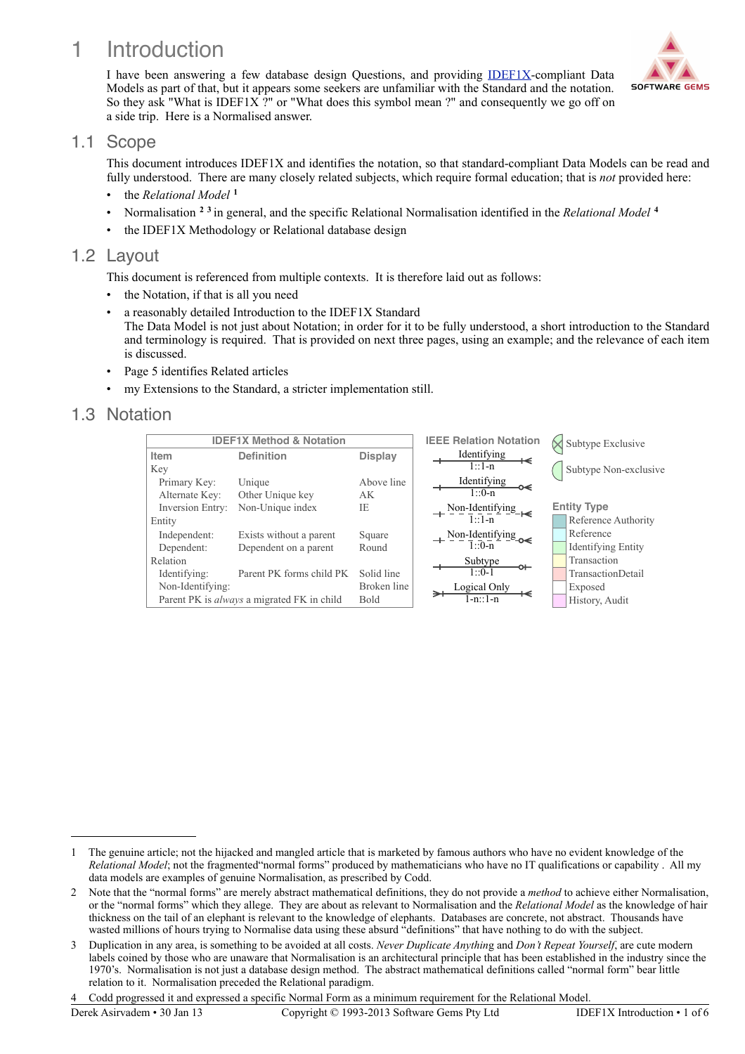# 1 Introduction

I have been answering a few database design Questions, and providing [IDEF1X](http://www.idef.com/IDEF1x.htm)-compliant Data Models as part of that, but it appears some seekers are unfamiliar with the Standard and the notation. So they ask "What is IDEF1X ?" or "What does this symbol mean ?" and consequently we go off on a side trip. Here is a Normalised answer.

### 1.1 Scope

This document introduces IDEF1X and identifies the notation, so that standard-compliant Data Models can be read and fully understood. There are many closely related subjects, which require formal education; that is *not* provided here:

- the *Relational Model* **[1](#page-0-0)**
- Normalisation **[2](#page-0-1) [3](#page-0-2)** in general, and the specific Relational Normalisation identified in the *Relational Model* **[4](#page-0-3)**
- the IDEF1X Methodology or Relational database design

## 1.2 Layout

This document is referenced from multiple contexts. It is therefore laid out as follows:

- the Notation, if that is all you need
- a reasonably detailed Introduction to the IDEF1X Standard The Data Model is not just about Notation; in order for it to be fully understood, a short introduction to the Standard and terminology is required. That is provided on next three pages, using an example; and the relevance of each item is discussed.
- Page 5 identifies Related articles
- my Extensions to the Standard, a stricter implementation still.

# 1.3 Notation





<span id="page-0-0"></span><sup>1</sup> The genuine article; not the hijacked and mangled article that is marketed by famous authors who have no evident knowledge of the *Relational Model*; not the fragmented"normal forms" produced by mathematicians who have no IT qualifications or capability . All my data models are examples of genuine Normalisation, as prescribed by Codd.

<span id="page-0-1"></span><sup>2</sup> Note that the "normal forms" are merely abstract mathematical definitions, they do not provide a *method* to achieve either Normalisation, or the "normal forms" which they allege. They are about as relevant to Normalisation and the *Relational Model* as the knowledge of hair thickness on the tail of an elephant is relevant to the knowledge of elephants. Databases are concrete, not abstract. Thousands have wasted millions of hours trying to Normalise data using these absurd "definitions" that have nothing to do with the subject.

<span id="page-0-2"></span><sup>3</sup> Duplication in any area, is something to be avoided at all costs. *Never Duplicate Anythin*g and *Don't Repeat Yourself*, are cute modern labels coined by those who are unaware that Normalisation is an architectural principle that has been established in the industry since the 1970's. Normalisation is not just a database design method. The abstract mathematical definitions called "normal form" bear little relation to it. Normalisation preceded the Relational paradigm.

<span id="page-0-3"></span><sup>4</sup> Codd progressed it and expressed a specific Normal Form as a minimum requirement for the Relational Model.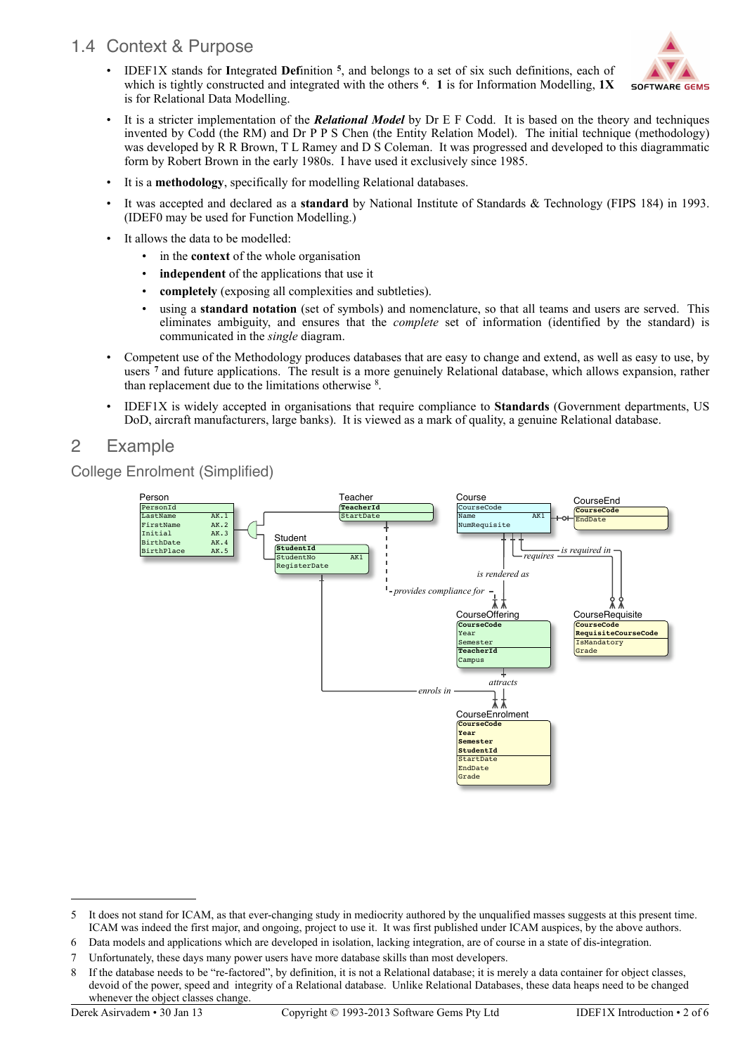# 1.4 Context & Purpose

• IDEF1X stands for **I**ntegrated **Def**inition **[5](#page-1-0)**, and belongs to a set of six such definitions, each of which is tightly constructed and integrated with the others **[6](#page-1-1)**. **1** is for Information Modelling, **1X** is for Relational Data Modelling.



- It is a stricter implementation of the *Relational Model* by Dr E F Codd. It is based on the theory and techniques invented by Codd (the RM) and Dr P P S Chen (the Entity Relation Model). The initial technique (methodology) was developed by R R Brown, T L Ramey and D S Coleman. It was progressed and developed to this diagrammatic form by Robert Brown in the early 1980s. I have used it exclusively since 1985.
- It is a **methodology**, specifically for modelling Relational databases.
- It was accepted and declared as a **standard** by National Institute of Standards & Technology (FIPS 184) in 1993. (IDEF0 may be used for Function Modelling.)
- It allows the data to be modelled:
	- in the **context** of the whole organisation
	- **independent** of the applications that use it
	- **completely** (exposing all complexities and subtleties).
	- using a **standard notation** (set of symbols) and nomenclature, so that all teams and users are served. This eliminates ambiguity, and ensures that the *complete* set of information (identified by the standard) is communicated in the *single* diagram.
- Competent use of the Methodology produces databases that are easy to change and extend, as well as easy to use, by users **[7](#page-1-2)** and future applications. The result is a more genuinely Relational database, which allows expansion, rather than replacement due to the limitations otherwise [8](#page-1-3).
- IDEF1X is widely accepted in organisations that require compliance to **Standards** (Government departments, US DoD, aircraft manufacturers, large banks). It is viewed as a mark of quality, a genuine Relational database.

# 2 Example

### College Enrolment (Simplified)



<span id="page-1-0"></span><sup>5</sup> It does not stand for ICAM, as that ever-changing study in mediocrity authored by the unqualified masses suggests at this present time. ICAM was indeed the first major, and ongoing, project to use it. It was first published under ICAM auspices, by the above authors.

<span id="page-1-1"></span><sup>6</sup> Data models and applications which are developed in isolation, lacking integration, are of course in a state of dis-integration.

<span id="page-1-2"></span><sup>7</sup> Unfortunately, these days many power users have more database skills than most developers.

<span id="page-1-3"></span><sup>8</sup> If the database needs to be "re-factored", by definition, it is not a Relational database; it is merely a data container for object classes, devoid of the power, speed and integrity of a Relational database. Unlike Relational Databases, these data heaps need to be changed whenever the object classes change.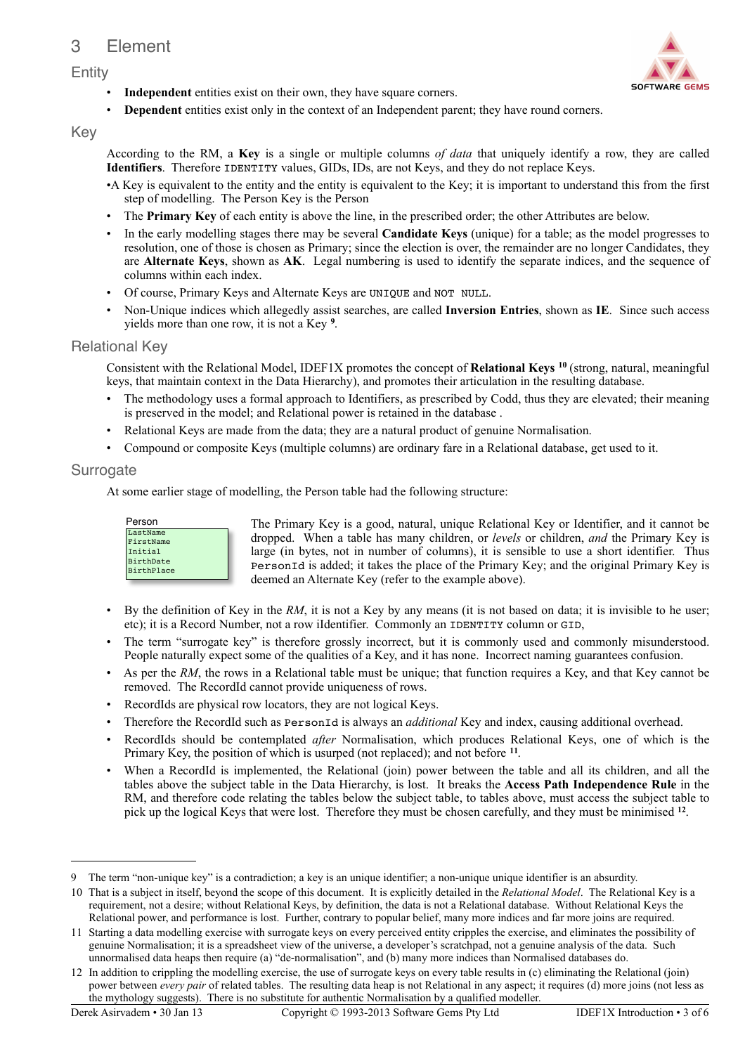# 3 Element

#### Entity



**Dependent** entities exist only in the context of an Independent parent; they have round corners.

#### Key

According to the RM, a **Key** is a single or multiple columns *of data* that uniquely identify a row, they are called **Identifiers**. Therefore IDENTITY values, GIDs, IDs, are not Keys, and they do not replace Keys.

- •A Key is equivalent to the entity and the entity is equivalent to the Key; it is important to understand this from the first step of modelling. The Person Key is the Person
- The **Primary Key** of each entity is above the line, in the prescribed order; the other Attributes are below.
- In the early modelling stages there may be several **Candidate Keys** (unique) for a table; as the model progresses to resolution, one of those is chosen as Primary; since the election is over, the remainder are no longer Candidates, they are **Alternate Keys**, shown as **AK**. Legal numbering is used to identify the separate indices, and the sequence of columns within each index.
- Of course, Primary Keys and Alternate Keys are UNIQUE and NOT NULL.
- Non-Unique indices which allegedly assist searches, are called **Inversion Entries**, shown as **IE**. Since such access yields more than one row, it is not a Key **[9](#page-2-0)** .

#### Relational Key

Consistent with the Relational Model, IDEF1X promotes the concept of **Relational Keys [10](#page-2-1)** (strong, natural, meaningful keys, that maintain context in the Data Hierarchy), and promotes their articulation in the resulting database.

- The methodology uses a formal approach to Identifiers, as prescribed by Codd, thus they are elevated; their meaning is preserved in the model; and Relational power is retained in the database .
- Relational Keys are made from the data; they are a natural product of genuine Normalisation.
- Compound or composite Keys (multiple columns) are ordinary fare in a Relational database, get used to it.

#### **Surrogate**

At some earlier stage of modelling, the Person table had the following structure:



The Primary Key is a good, natural, unique Relational Key or Identifier, and it cannot be dropped. When a table has many children, or *levels* or children, *and* the Primary Key is large (in bytes, not in number of columns), it is sensible to use a short identifier. Thus PersonId is added; it takes the place of the Primary Key; and the original Primary Key is deemed an Alternate Key (refer to the example above).

- By the definition of Key in the *RM*, it is not a Key by any means (it is not based on data; it is invisible to he user; etc); it is a Record Number, not a row iIdentifier. Commonly an IDENTITY column or GID,
- The term "surrogate key" is therefore grossly incorrect, but it is commonly used and commonly misunderstood. People naturally expect some of the qualities of a Key, and it has none. Incorrect naming guarantees confusion.
- As per the *RM*, the rows in a Relational table must be unique; that function requires a Key, and that Key cannot be removed. The RecordId cannot provide uniqueness of rows.
- RecordIds are physical row locators, they are not logical Keys.
- Therefore the RecordId such as PersonId is always an *additional* Key and index, causing additional overhead.
- RecordIds should be contemplated *after* Normalisation, which produces Relational Keys, one of which is the Primary Key, the position of which is usurped (not replaced); and not before **[11](#page-2-2)**.
- When a RecordId is implemented, the Relational (join) power between the table and all its children, and all the tables above the subject table in the Data Hierarchy, is lost. It breaks the **Access Path Independence Rule** in the RM, and therefore code relating the tables below the subject table, to tables above, must access the subject table to pick up the logical Keys that were lost. Therefore they must be chosen carefully, and they must be minimised **[12](#page-2-3)**.



<span id="page-2-0"></span><sup>9</sup> The term "non-unique key" is a contradiction; a key is an unique identifier; a non-unique unique identifier is an absurdity.

<span id="page-2-1"></span><sup>10</sup> That is a subject in itself, beyond the scope of this document. It is explicitly detailed in the *Relational Model*. The Relational Key is a requirement, not a desire; without Relational Keys, by definition, the data is not a Relational database. Without Relational Keys the Relational power, and performance is lost. Further, contrary to popular belief, many more indices and far more joins are required.

<span id="page-2-2"></span><sup>11</sup> Starting a data modelling exercise with surrogate keys on every perceived entity cripples the exercise, and eliminates the possibility of genuine Normalisation; it is a spreadsheet view of the universe, a developer's scratchpad, not a genuine analysis of the data. Such unnormalised data heaps then require (a) "de-normalisation", and (b) many more indices than Normalised databases do.

<span id="page-2-3"></span><sup>12</sup> In addition to crippling the modelling exercise, the use of surrogate keys on every table results in (c) eliminating the Relational (join) power between *every pair* of related tables. The resulting data heap is not Relational in any aspect; it requires (d) more joins (not less as the mythology suggests). There is no substitute for authentic Normalisation by a qualified modeller.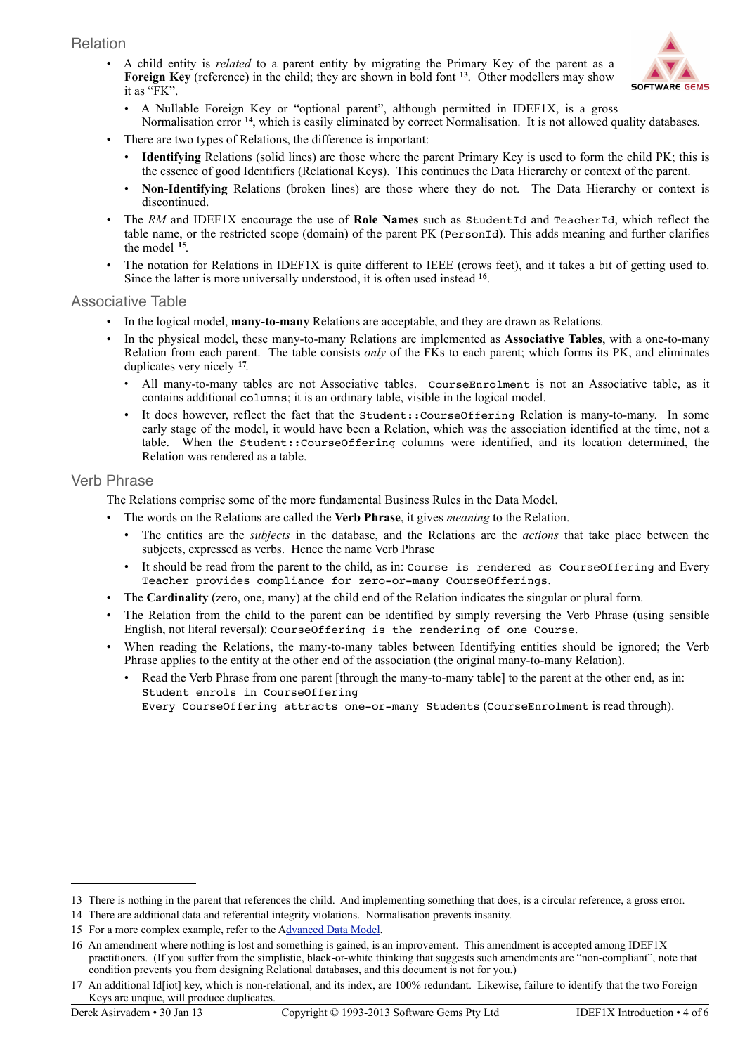#### Relation

• A child entity is *related* to a parent entity by migrating the Primary Key of the parent as a **Foreign Key** (reference) in the child; they are shown in bold font **[13](#page-3-0)**. Other modellers may show it as "FK".



- A Nullable Foreign Key or "optional parent", although permitted in IDEF1X, is a gross Normalisation error **[14](#page-3-1)**, which is easily eliminated by correct Normalisation. It is not allowed quality databases.
- There are two types of Relations, the difference is important:
	- **Identifying** Relations (solid lines) are those where the parent Primary Key is used to form the child PK; this is the essence of good Identifiers (Relational Keys). This continues the Data Hierarchy or context of the parent.
	- **Non-Identifying** Relations (broken lines) are those where they do not. The Data Hierarchy or context is discontinued.
- The *RM* and IDEF1X encourage the use of **Role Names** such as StudentId and TeacherId, which reflect the table name, or the restricted scope (domain) of the parent PK (PersonId). This adds meaning and further clarifies the model **[15](#page-3-2)**.
- The notation for Relations in IDEF1X is quite different to IEEE (crows feet), and it takes a bit of getting used to. Since the latter is more universally understood, it is often used instead **[16](#page-3-3)**.

#### Associative Table

- In the logical model, **many-to-many** Relations are acceptable, and they are drawn as Relations.
- In the physical model, these many-to-many Relations are implemented as **Associative Tables**, with a one-to-many Relation from each parent. The table consists *only* of the FKs to each parent; which forms its PK, and eliminates duplicates very nicely **[17](#page-3-4)**.
	- All many-to-many tables are not Associative tables. CourseEnrolment is not an Associative table, as it contains additional columns; it is an ordinary table, visible in the logical model.
	- It does however, reflect the fact that the student:: CourseOffering Relation is many-to-many. In some early stage of the model, it would have been a Relation, which was the association identified at the time, not a table. When the Student::CourseOffering columns were identified, and its location determined, the Relation was rendered as a table.

#### Verb Phrase

The Relations comprise some of the more fundamental Business Rules in the Data Model.

- The words on the Relations are called the **Verb Phrase**, it gives *meaning* to the Relation.
	- The entities are the *subjects* in the database, and the Relations are the *actions* that take place between the subjects, expressed as verbs. Hence the name Verb Phrase
	- It should be read from the parent to the child, as in: Course is rendered as CourseOffering and Every Teacher provides compliance for zero-or-many CourseOfferings.
- The **Cardinality** (zero, one, many) at the child end of the Relation indicates the singular or plural form.
- The Relation from the child to the parent can be identified by simply reversing the Verb Phrase (using sensible English, not literal reversal): CourseOffering is the rendering of one Course.
- When reading the Relations, the many-to-many tables between Identifying entities should be ignored; the Verb Phrase applies to the entity at the other end of the association (the original many-to-many Relation).
	- Read the Verb Phrase from one parent [through the many-to-many table] to the parent at the other end, as in: Student enrols in CourseOffering

Every CourseOffering attracts one-or-many Students (CourseEnrolment is read through).

<span id="page-3-0"></span><sup>13</sup> There is nothing in the parent that references the child. And implementing something that does, is a circular reference, a gross error.

<span id="page-3-1"></span><sup>14</sup> There are additional data and referential integrity violations. Normalisation prevents insanity.

<span id="page-3-2"></span><sup>15</sup> For a more complex example, refer to the [Advanced Data Model.](http://www.softwaregems.com.au/Documents/Documentary%20Examples/Order%20DM%20Advanced.pdf)

<span id="page-3-3"></span><sup>16</sup> An amendment where nothing is lost and something is gained, is an improvement. This amendment is accepted among IDEF1X practitioners. (If you suffer from the simplistic, black-or-white thinking that suggests such amendments are "non-compliant", note that condition prevents you from designing Relational databases, and this document is not for you.)

<span id="page-3-4"></span><sup>17</sup> An additional Id[iot] key, which is non-relational, and its index, are 100% redundant. Likewise, failure to identify that the two Foreign Keys are unqiue, will produce duplicates.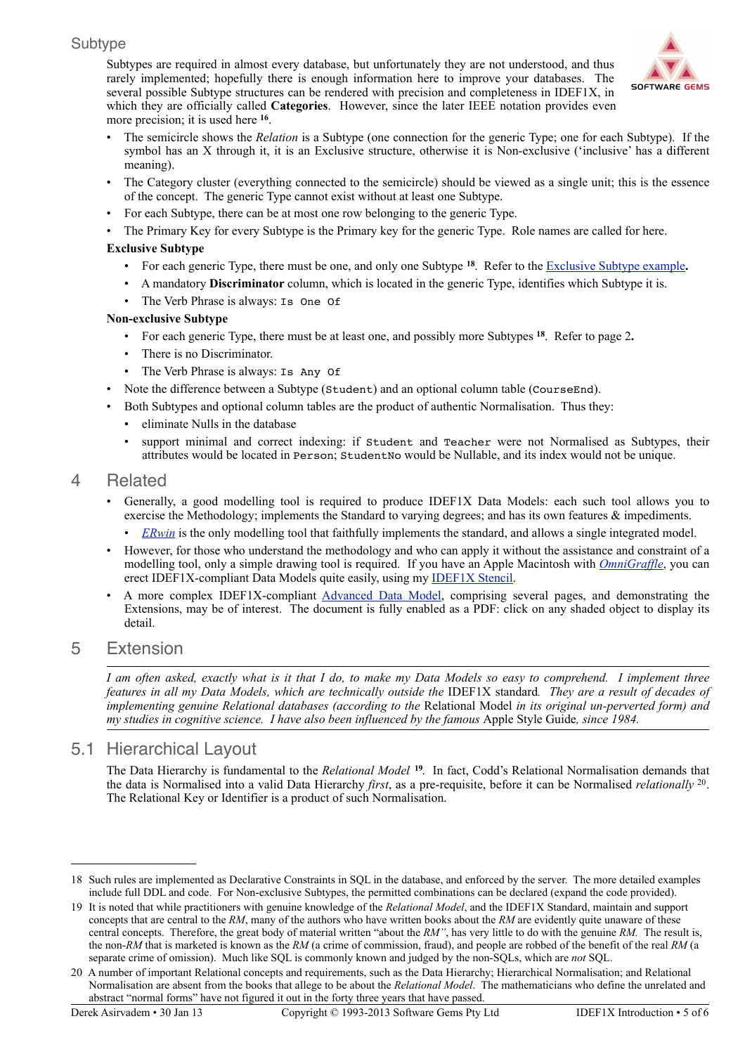#### Subtype

Subtypes are required in almost every database, but unfortunately they are not understood, and thus rarely implemented; hopefully there is enough information here to improve your databases. The several possible Subtype structures can be rendered with precision and completeness in IDEF1X, in which they are officially called **Categories**. However, since the later IEEE notation provides even more precision; it is used here **<sup>16</sup>**.



- The semicircle shows the *Relation* is a Subtype (one connection for the generic Type; one for each Subtype). If the symbol has an X through it, it is an Exclusive structure, otherwise it is Non-exclusive ('inclusive' has a different meaning).
- The Category cluster (everything connected to the semicircle) should be viewed as a single unit; this is the essence of the concept. The generic Type cannot exist without at least one Subtype.
- For each Subtype, there can be at most one row belonging to the generic Type.
- The Primary Key for every Subtype is the Primary key for the generic Type. Role names are called for here.

#### **Exclusive Subtype**

- For each generic Type, there must be one, and only one Subtype **[18](#page-4-0)**. Refer to the [Exclusive Subtype example](http://www.softwaregems.com.au/Documents/Student%20Resolutions/Anders%20DM.pdf)**.**
- A mandatory **Discriminator** column, which is located in the generic Type, identifies which Subtype it is.
- The Verb Phrase is always: Is One Of

#### **Non-exclusive Subtype**

- For each generic Type, there must be at least one, and possibly more Subtypes **<sup>18</sup>**. Refer to page 2**.**
- There is no Discriminator.
- The Verb Phrase is always: Is Any Of
- Note the difference between a Subtype (Student) and an optional column table (CourseEnd).
- Both Subtypes and optional column tables are the product of authentic Normalisation. Thus they:
	- eliminate Nulls in the database
	- support minimal and correct indexing: if Student and Teacher were not Normalised as Subtypes, their attributes would be located in Person; StudentNo would be Nullable, and its index would not be unique.

### 4 Related

- Generally, a good modelling tool is required to produce IDEF1X Data Models: each such tool allows you to exercise the Methodology; implements the Standard to varying degrees; and has its own features & impediments.
	- *[ERwin](http://erwin.com/)* is the only modelling tool that faithfully implements the standard, and allows a single integrated model.
- However, for those who understand the methodology and who can apply it without the assistance and constraint of a modelling tool, only a simple drawing tool is required. If you have an Apple Macintosh with *[OmniGraffle](http://www.omnigroup.com/products/omnigraffle/)*, you can erect IDEF1X-compliant Data Models quite easily, using my **IDEF1X Stencil**.
- A more complex IDEF1X-compliant [Advanced](http://www.softwaregems.com.au/Documents/Documentary%20Examples/Order%20DM%20Advanced.pdf) Data Model, comprising several pages, and demonstrating the Extensions, may be of interest. The document is fully enabled as a PDF: click on any shaded object to display its detail.

## 5 Extension

I am often asked, exactly what is it that I do, to make my Data Models so easy to comprehend. I implement three features in all my Data Models, which are technically outside the IDEF1X standard. They are a result of decades of *implementing genuine Relational databases (according to the* Relational Model *in its original un-perverted form) and my studies in cognitive science. I have also been influenced by the famous* Apple Style Guide*, since 1984.*

## 5.1 Hierarchical Layout

The Data Hierarchy is fundamental to the *Relational Model* **[19](#page-4-1)**. In fact, Codd's Relational Normalisation demands that the data is Normalised into a valid Data Hierarchy *first*, as a pre-requisite, before it can be Normalised *relationally* [20](#page-4-2). The Relational Key or Identifier is a product of such Normalisation.

<span id="page-4-0"></span><sup>18</sup> Such rules are implemented as Declarative Constraints in SQL in the database, and enforced by the server. The more detailed examples include full DDL and code. For Non-exclusive Subtypes, the permitted combinations can be declared (expand the code provided).

<span id="page-4-1"></span><sup>19</sup> It is noted that while practitioners with genuine knowledge of the *Relational Model*, and the IDEF1X Standard, maintain and support concepts that are central to the *RM*, many of the authors who have written books about the *RM* are evidently quite unaware of these central concepts. Therefore, the great body of material written "about the *RM"*, has very little to do with the genuine *RM.* The result is, the non-*RM* that is marketed is known as the *RM* (a crime of commission, fraud), and people are robbed of the benefit of the real *RM* (a separate crime of omission). Much like SQL is commonly known and judged by the non-SQLs, which are *not* SQL.

<span id="page-4-2"></span><sup>20</sup> A number of important Relational concepts and requirements, such as the Data Hierarchy; Hierarchical Normalisation; and Relational Normalisation are absent from the books that allege to be about the *Relational Model*. The mathematicians who define the unrelated and abstract "normal forms" have not figured it out in the forty three years that have passed.